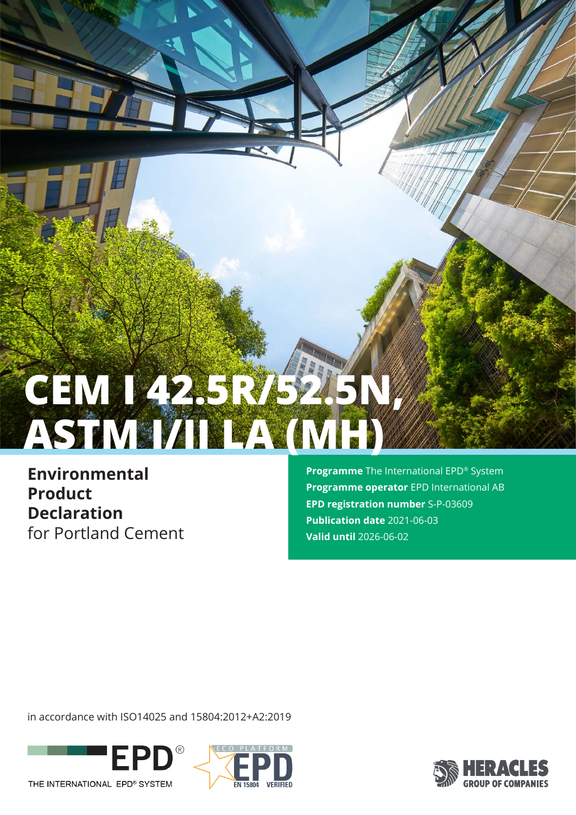# **CEM I 42.5R/52.5N, ASTM I/II LA (MH)**

**Environmental Product Declaration** for Portland Cement **Programme** The International EPD® System **Programme operator** EPD International AB **EPD registration number** S-P-03609 **Publication date** 2021-06-03 **Valid until** 2026-06-02

in accordance with ISO14025 and 15804:2012+A2:2019





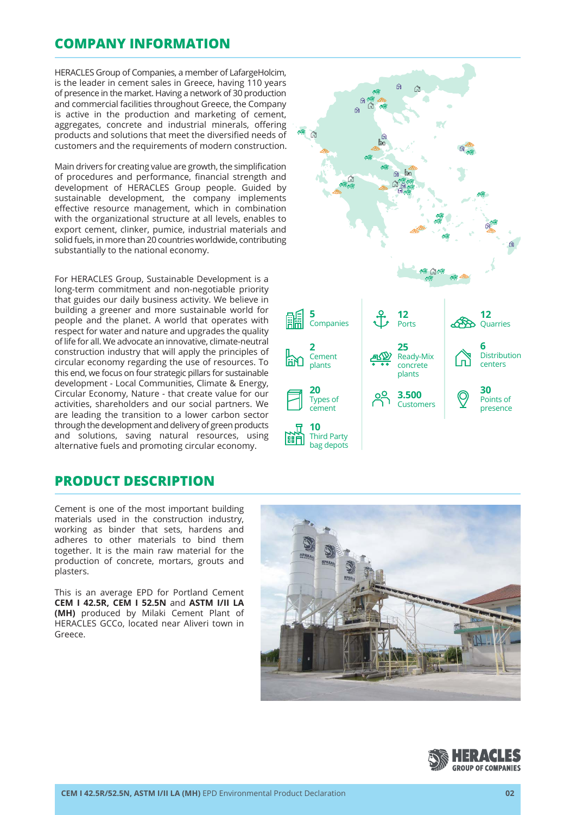## **COMPANY INFORMATION**

HERACLES Group of Companies, a member of LafargeHolcim, is the leader in cement sales in Greece, having 110 years of presence in the market. Having a network of 30 production and commercial facilities throughout Greece, the Company is active in the production and marketing of cement, aggregates, concrete and industrial minerals, offering products and solutions that meet the diversified needs of customers and the requirements of modern construction.

Main drivers for creating value are growth, the simplification of procedures and performance, financial strength and development of HERACLES Group people. Guided by sustainable development, the company implements effective resource management, which in combination with the organizational structure at all levels, enables to export cement, clinker, pumice, industrial materials and solid fuels, in more than 20 countries worldwide, contributing substantially to the national economy.

For HERACLES Group, Sustainable Development is a long-term commitment and non-negotiable priority that guides our daily business activity. We believe in building a greener and more sustainable world for people and the planet. A world that operates with respect for water and nature and upgrades the quality of life for all. We advocate an innovative, climate-neutral construction industry that will apply the principles of circular economy regarding the use of resources. To this end, we focus on four strategic pillars for sustainable development - Local Communities, Climate & Energy, Circular Economy, Nature - that create value for our activities, shareholders and our social partners. We are leading the transition to a lower carbon sector through the development and delivery of green products and solutions, saving natural resources, using alternative fuels and promoting circular economy.

## **PRODUCT DESCRIPTION**

Cement is one of the most important building materials used in the construction industry, working as binder that sets, hardens and adheres to other materials to bind them together. It is the main raw material for the production of concrete, mortars, grouts and plasters.

This is an average EPD for Portland Cement **CEM I 42.5R, CEM I 52.5N** and **ASTM I/II LA (MH)** produced by Milaki Cement Plant of HERACLES GCCo, located near Aliveri town in Greece.





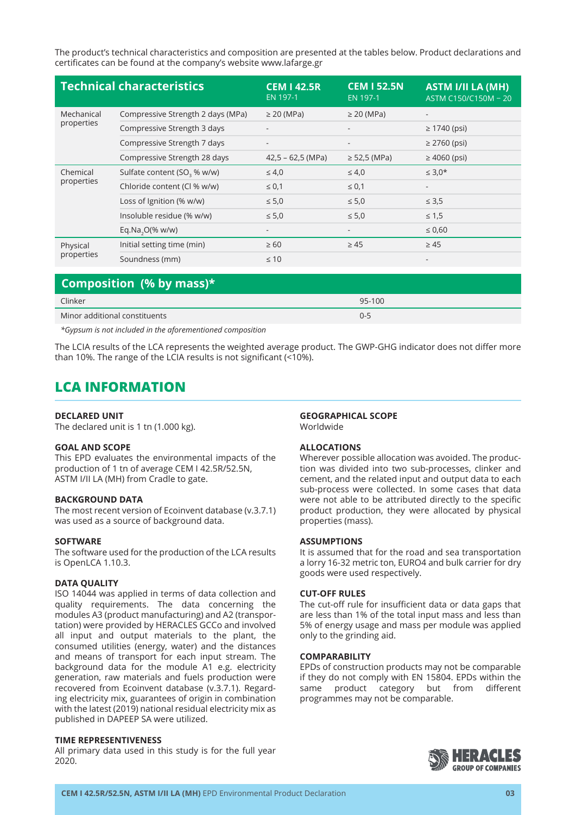The product's technical characteristics and composition are presented at the tables below. Product declarations and certificates can be found at the company's website www.lafarge.gr

| <b>Technical characteristics</b> |                                         | <b>CEM 142.5R</b><br>EN 197-1 | <b>CEM I 52.5N</b><br>EN 197-1 | <b>ASTM I/II LA (MH)</b><br>ASTM C150/C150M - 20 |
|----------------------------------|-----------------------------------------|-------------------------------|--------------------------------|--------------------------------------------------|
| Mechanical<br>properties         | Compressive Strength 2 days (MPa)       | $\geq$ 20 (MPa)               | $\geq$ 20 (MPa)                | -                                                |
|                                  | Compressive Strength 3 days             |                               |                                | $\geq 1740$ (psi)                                |
|                                  | Compressive Strength 7 days             |                               |                                | $\geq$ 2760 (psi)                                |
|                                  | Compressive Strength 28 days            | $42,5 - 62,5$ (MPa)           | $\ge$ 52,5 (MPa)               | $\geq 4060$ (psi)                                |
| Chemical<br>properties           | Sulfate content (SO <sub>3</sub> % w/w) | $\leq 4.0$                    | $\leq 4.0$                     | $\leq 3.0*$                                      |
|                                  | Chloride content (Cl % w/w)             | $\leq 0.1$                    | $\leq 0.1$                     |                                                  |
|                                  | Loss of Ignition (% w/w)                | $\leq 5.0$                    | $\leq 5.0$                     | $\leq 3.5$                                       |
|                                  | Insoluble residue (% w/w)               | $\leq 5.0$                    | $\leq 5.0$                     | $\leq 1.5$                                       |
|                                  | Eq.Na <sub>2</sub> O(% w/w)             | $\overline{\phantom{a}}$      | $\overline{\phantom{a}}$       | $\leq 0,60$                                      |
| Physical<br>properties           | Initial setting time (min)              | $\geq 60$                     | $\geq 45$                      | $\geq 45$                                        |
|                                  | Soundness (mm)                          | $\leq 10$                     |                                |                                                  |

## **Composition (% by mass)\***

| Clinker                                                       | 95-100  |
|---------------------------------------------------------------|---------|
| Minor additional constituents                                 | $0 - 5$ |
| .<br>$\sim$ $\sim$ $\sim$<br>$\sim$ $\sim$ $\sim$<br>$\cdots$ |         |

*\*Gypsum is not included in the aforementioned composition*

The LCIA results of the LCA represents the weighted average product. The GWP-GHG indicator does not differ more than 10%. The range of the LCIA results is not significant (<10%).

## **LCA INFORMATION**

#### **DECLARED UNIT**

The declared unit is 1 tn (1.000 kg).

#### **GOAL AND SCOPE**

This EPD evaluates the environmental impacts of the production of 1 tn of average CEM I 42.5R/52.5N, ASTM I/II LA (MH) from Cradle to gate.

#### **BACKGROUND DATA**

The most recent version of Ecoinvent database (v.3.7.1) was used as a source of background data.

#### **SOFTWARE**

The software used for the production of the LCA results is OpenLCA 1.10.3.

#### **DATA QUALITY**

ISO 14044 was applied in terms of data collection and quality requirements. The data concerning the modules A3 (product manufacturing) and A2 (transportation) were provided by HERACLES GCCo and involved all input and output materials to the plant, the consumed utilities (energy, water) and the distances and means of transport for each input stream. The background data for the module A1 e.g. electricity generation, raw materials and fuels production were recovered from Ecoinvent database (v.3.7.1). Regarding electricity mix, guarantees of origin in combination with the latest (2019) national residual electricity mix as published in DAPEEP SA were utilized.

#### **TIME REPRESENTIVENESS**

All primary data used in this study is for the full year 2020.

#### **GEOGRAPHICAL SCOPE** Worldwide

#### **ALLOCATIONS**

Wherever possible allocation was avoided. The production was divided into two sub-processes, clinker and cement, and the related input and output data to each sub-process were collected. In some cases that data were not able to be attributed directly to the specific product production, they were allocated by physical properties (mass).

#### **ASSUMPTIONS**

It is assumed that for the road and sea transportation a lorry 16-32 metric ton, EURO4 and bulk carrier for dry goods were used respectively.

#### **CUT-OFF RULES**

The cut-off rule for insufficient data or data gaps that are less than 1% of the total input mass and less than 5% of energy usage and mass per module was applied only to the grinding aid.

#### **COMPARABILITY**

EPDs of construction products may not be comparable if they do not comply with EN 15804. EPDs within the same product category but from different programmes may not be comparable.

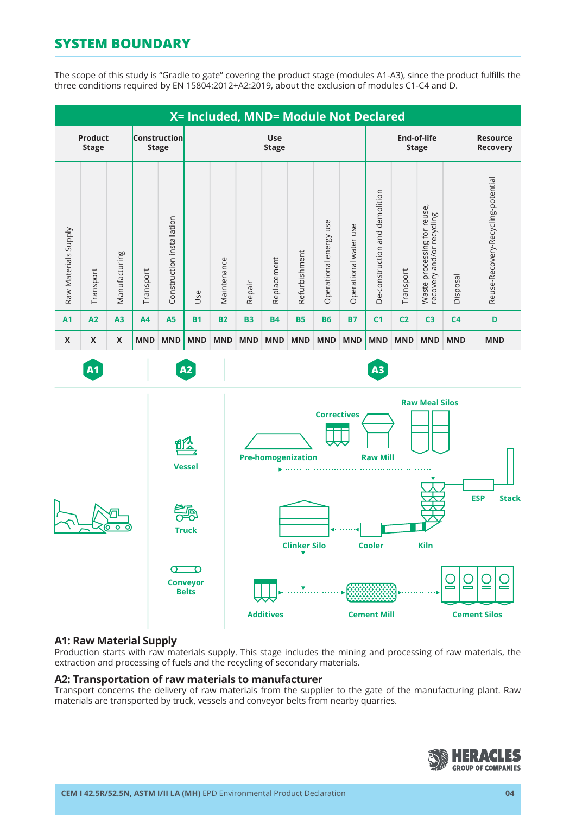# **SYSTEM BOUNDARY**

The scope of this study is "Gradle to gate" covering the product stage (modules A1-A3), since the product fulfills the three conditions required by EN 15804:2012+A2:2019, about the exclusion of modules C1-C4 and D.



### **A1: Raw Material Supply**

Production starts with raw materials supply. This stage includes the mining and processing of raw materials, the extraction and processing of fuels and the recycling of secondary materials.

#### **A2: Transportation of raw materials to manufacturer**

Transport concerns the delivery of raw materials from the supplier to the gate of the manufacturing plant. Raw materials are transported by truck, vessels and conveyor belts from nearby quarries.

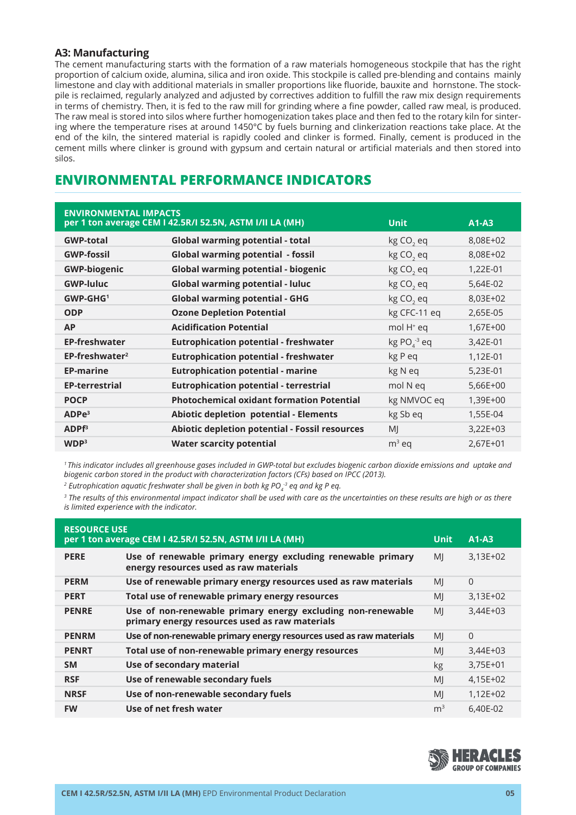## **A3: Manufacturing**

The cement manufacturing starts with the formation of a raw materials homogeneous stockpile that has the right proportion of calcium oxide, alumina, silica and iron oxide. This stockpile is called pre-blending and contains mainly limestone and clay with additional materials in smaller proportions like fluoride, bauxite and hornstone. The stockpile is reclaimed, regularly analyzed and adjusted by correctives addition to fulfill the raw mix design requirements in terms of chemistry. Then, it is fed to the raw mill for grinding where a fine powder, called raw meal, is produced. The raw meal is stored into silos where further homogenization takes place and then fed to the rotary kiln for sintering where the temperature rises at around 1450°C by fuels burning and clinkerization reactions take place. At the end of the kiln, the sintered material is rapidly cooled and clinker is formed. Finally, cement is produced in the cement mills where clinker is ground with gypsum and certain natural or artificial materials and then stored into silos.

## **ENVIRONMENTAL PERFORMANCE INDICATORS**

| <b>ENVIRONMENTAL IMPACTS</b> | per 1 ton average CEM I 42.5R/I 52.5N, ASTM I/II LA (MH) | <b>Unit</b>              | $A1-A3$    |
|------------------------------|----------------------------------------------------------|--------------------------|------------|
| <b>GWP-total</b>             | <b>Global warming potential - total</b>                  | kg CO <sub>2</sub> eq    | 8,08E+02   |
| <b>GWP-fossil</b>            | <b>Global warming potential - fossil</b>                 | kg CO <sub>2</sub> eq    | 8,08E+02   |
| <b>GWP-biogenic</b>          | <b>Global warming potential - biogenic</b>               | kg CO <sub>2</sub> eq    | 1,22E-01   |
| <b>GWP-luluc</b>             | <b>Global warming potential - luluc</b>                  | kg CO <sub>2</sub> eq    | 5,64E-02   |
| GWP-GHG <sup>1</sup>         | <b>Global warming potential - GHG</b>                    | kg CO <sub>2</sub> eq    | 8,03E+02   |
| <b>ODP</b>                   | <b>Ozone Depletion Potential</b>                         | kg CFC-11 eq             | 2,65E-05   |
| <b>AP</b>                    | <b>Acidification Potential</b>                           | mol H <sup>+</sup> eq    | $1,67E+00$ |
| <b>EP-freshwater</b>         | <b>Eutrophication potential - freshwater</b>             | $kg PO4$ <sup>3</sup> eq | 3,42E-01   |
| EP-freshwater <sup>2</sup>   | <b>Eutrophication potential - freshwater</b>             | kg P eq                  | 1,12E-01   |
| <b>EP-marine</b>             | <b>Eutrophication potential - marine</b>                 | kg N eq                  | 5,23E-01   |
| <b>EP-terrestrial</b>        | <b>Eutrophication potential - terrestrial</b>            | mol N eq                 | 5,66E+00   |
| <b>POCP</b>                  | <b>Photochemical oxidant formation Potential</b>         | kg NMVOC eq              | 1,39E+00   |
| ADPe <sup>3</sup>            | Abiotic depletion potential - Elements                   | kg Sb eq                 | 1,55E-04   |
| ADPF <sup>3</sup>            | Abiotic depletion potential - Fossil resources           | MI                       | $3,22E+03$ |
| WDP <sup>3</sup>             | <b>Water scarcity potential</b>                          | $m3$ eq                  | 2,67E+01   |

*1 This indicator includes all greenhouse gases included in GWP-total but excludes biogenic carbon dioxide emissions and uptake and biogenic carbon stored in the product with characterization factors (CFs) based on IPCC (2013).* 

<sup>2</sup> Eutrophication aquatic freshwater shall be given in both kg PO $_4^{\text{-3}}$  eq and kg P eq.

*3 The results of this environmental impact indicator shall be used with care as the uncertainties on these results are high or as there is limited experience with the indicator.*

| <b>RESOURCE USE</b><br>per 1 ton average CEM I 42.5R/I 52.5N, ASTM I/II LA (MH)<br>$A1-A3$<br>Unit |                                                                                                               |                |            |
|----------------------------------------------------------------------------------------------------|---------------------------------------------------------------------------------------------------------------|----------------|------------|
| <b>PERE</b>                                                                                        | Use of renewable primary energy excluding renewable primary<br>energy resources used as raw materials         | MI             | $3,13E+02$ |
| <b>PERM</b>                                                                                        | Use of renewable primary energy resources used as raw materials                                               | MI             | $\Omega$   |
| <b>PERT</b>                                                                                        | Total use of renewable primary energy resources                                                               | MI             | $3,13E+02$ |
| <b>PENRE</b>                                                                                       | Use of non-renewable primary energy excluding non-renewable<br>primary energy resources used as raw materials | MI             | $3,44E+03$ |
| <b>PENRM</b>                                                                                       | Use of non-renewable primary energy resources used as raw materials                                           | MI             | $\Omega$   |
| <b>PENRT</b>                                                                                       | Total use of non-renewable primary energy resources                                                           | MI             | 3,44E+03   |
| <b>SM</b>                                                                                          | Use of secondary material                                                                                     | kg             | 3,75E+01   |
| <b>RSF</b>                                                                                         | Use of renewable secondary fuels                                                                              | MI             | 4,15E+02   |
| <b>NRSF</b>                                                                                        | Use of non-renewable secondary fuels                                                                          | MI             | 1,12E+02   |
| <b>FW</b>                                                                                          | Use of net fresh water                                                                                        | m <sup>3</sup> | 6,40E-02   |

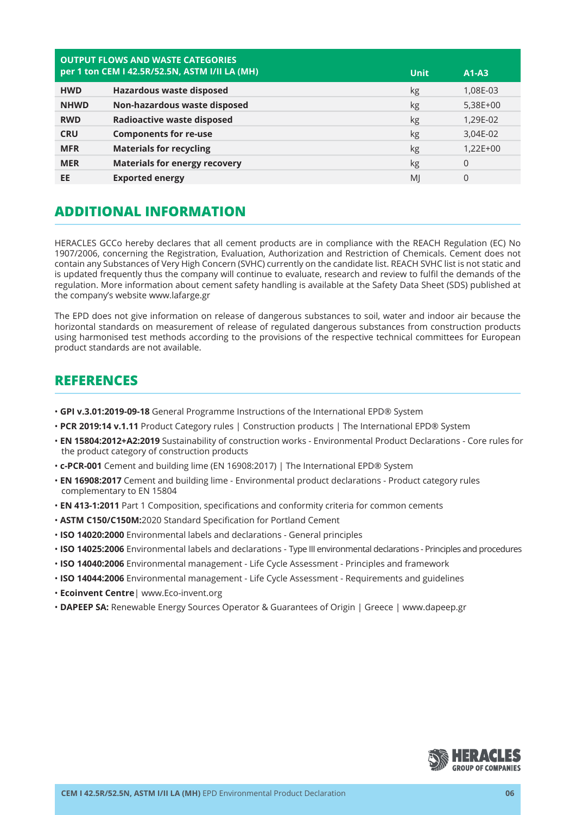| <b>OUTPUT FLOWS AND WASTE CATEGORIES</b><br>per 1 ton CEM I 42.5R/52.5N, ASTM I/II LA (MH)<br><b>Unit</b><br>$A1-A3$ |                                      |    |            |
|----------------------------------------------------------------------------------------------------------------------|--------------------------------------|----|------------|
| <b>HWD</b>                                                                                                           | Hazardous waste disposed             | kg | 1,08E-03   |
| <b>NHWD</b>                                                                                                          | Non-hazardous waste disposed         | kg | 5,38E+00   |
| <b>RWD</b>                                                                                                           | <b>Radioactive waste disposed</b>    | kg | 1,29E-02   |
| <b>CRU</b>                                                                                                           | <b>Components for re-use</b>         | kg | 3,04E-02   |
| <b>MFR</b>                                                                                                           | <b>Materials for recycling</b>       | kg | $1,22E+00$ |
| <b>MER</b>                                                                                                           | <b>Materials for energy recovery</b> | kg | $\Omega$   |
| EE                                                                                                                   | <b>Exported energy</b>               | MI | 0          |

## **ADDITIONAL INFORMATION**

HERACLES GCCo hereby declares that all cement products are in compliance with the REACH Regulation (EC) No 1907/2006, concerning the Registration, Evaluation, Authorization and Restriction of Chemicals. Cement does not contain any Substances of Very High Concern (SVHC) currently on the candidate list. REACH SVHC list is not static and is updated frequently thus the company will continue to evaluate, research and review to fulfil the demands of the regulation. More information about cement safety handling is available at the Safety Data Sheet (SDS) published at the company's website www.lafarge.gr

The EPD does not give information on release of dangerous substances to soil, water and indoor air because the horizontal standards on measurement of release of regulated dangerous substances from construction products using harmonised test methods according to the provisions of the respective technical committees for European product standards are not available.

## **REFERENCES**

- • **GPI v.3.01:2019-09-18** General Programme Instructions of the International EPD® System
- **PCR 2019:14 v.1.11** Product Category rules | Construction products | The International EPD® System
- **EN 15804:2012+A2:2019** Sustainability of construction works Environmental Product Declarations Core rules for the product category of construction products
- **c-PCR-001** Cement and building lime (EN 16908:2017) | The International EPD® System
- • **EN 16908:2017** Cement and building lime Environmental product declarations Product category rules complementary to EN 15804
- • **EN 413-1:2011** Part 1 Composition, specifications and conformity criteria for common cements
- • **ASTM C150/C150M:**2020 Standard Specification for Portland Cement
- • **ISO 14020:2000** Environmental labels and declarations General principles
- • **ISO 14025:2006** Environmental labels and declarations Type III environmental declarations Principles and procedures
- **ISO 14040:2006** Environmental management Life Cycle Assessment Principles and framework
- • **ISO 14044:2006** Environmental management Life Cycle Assessment Requirements and guidelines
- • **Ecoinvent Centre**| www.Eco-invent.org
- **DAPEEP SA:** Renewable Energy Sources Operator & Guarantees of Origin | Greece | www.dapeep.gr

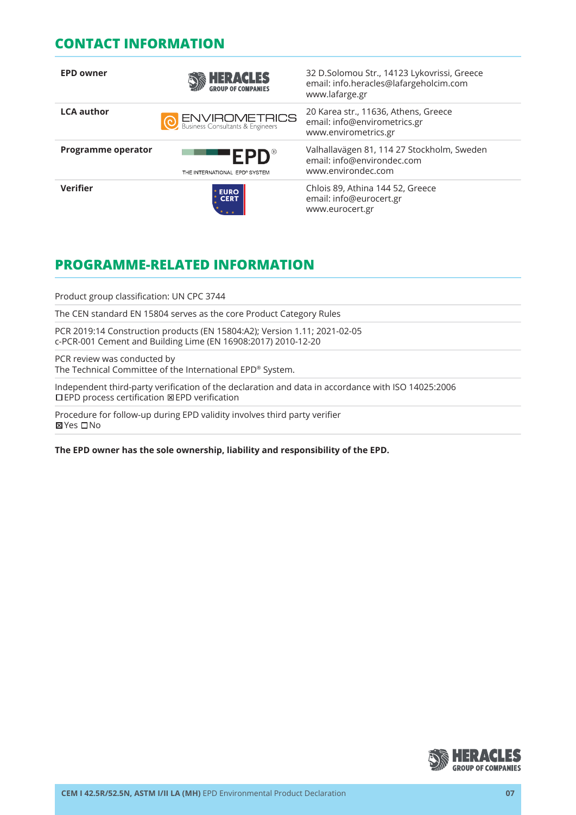## **CONTACT INFORMATION**

| <b>EPD owner</b>   | <b>HERACLES</b>                                          | 32 D.Solomou Str., 14123 Lykovrissi, Greece<br>email: info.heracles@lafargeholcim.com<br>www.lafarge.gr |
|--------------------|----------------------------------------------------------|---------------------------------------------------------------------------------------------------------|
| <b>LCA author</b>  | <b>ENVIROMETRICS</b><br>Business Consultants & Engineers | 20 Karea str., 11636, Athens, Greece<br>email: info@envirometrics.gr<br>www.envirometrics.gr            |
| Programme operator | <b>EPD</b> ®<br>THE INTERNATIONAL EPD® SYSTEM            | Valhallavägen 81, 114 27 Stockholm, Sweden<br>email: info@environdec.com<br>www.environdec.com          |
| <b>Verifier</b>    | <b>EURO<br/>CERT</b>                                     | Chlois 89, Athina 144 52, Greece<br>email: info@eurocert.gr<br>www.eurocert.gr                          |

# **PROGRAMME-RELATED INFORMATION**

Product group classification: UN CPC 3744

The CEN standard EN 15804 serves as the core Product Category Rules

PCR 2019:14 Construction products (EN 15804:A2); Version 1.11; 2021-02-05 c-PCR-001 Cement and Building Lime (EN 16908:2017) 2010-12-20

PCR review was conducted by The Technical Committee of the International EPD® System.

Independent third-party verification of the declaration and data in accordance with ISO 14025:2006 EPD process certification EPD verification

Procedure for follow-up during EPD validity involves third party verifier **⊠Yes** □No

**The EPD owner has the sole ownership, liability and responsibility of the EPD.**